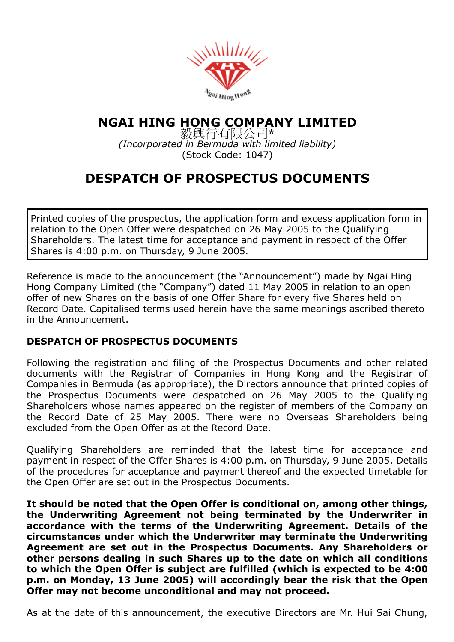

## NGAI HING HONG COMPANY LIMITED

毅興行有限公司\* (Incorporated in Bermuda with limited liability) (Stock Code: 1047)

## DESPATCH OF PROSPECTUS DOCUMENTS

Printed copies of the prospectus, the application form and excess application form in relation to the Open Offer were despatched on 26 May 2005 to the Qualifying Shareholders. The latest time for acceptance and payment in respect of the Offer Shares is 4:00 p.m. on Thursday, 9 June 2005.

Reference is made to the announcement (the "Announcement") made by Ngai Hing Hong Company Limited (the "Company") dated 11 May 2005 in relation to an open offer of new Shares on the basis of one Offer Share for every five Shares held on Record Date. Capitalised terms used herein have the same meanings ascribed thereto in the Announcement.

## DESPATCH OF PROSPECTUS DOCUMENTS

Following the registration and filing of the Prospectus Documents and other related documents with the Registrar of Companies in Hong Kong and the Registrar of Companies in Bermuda (as appropriate), the Directors announce that printed copies of the Prospectus Documents were despatched on 26 May 2005 to the Qualifying Shareholders whose names appeared on the register of members of the Company on the Record Date of 25 May 2005. There were no Overseas Shareholders being excluded from the Open Offer as at the Record Date.

Qualifying Shareholders are reminded that the latest time for acceptance and payment in respect of the Offer Shares is 4:00 p.m. on Thursday, 9 June 2005. Details of the procedures for acceptance and payment thereof and the expected timetable for the Open Offer are set out in the Prospectus Documents.

It should be noted that the Open Offer is conditional on, among other things, the Underwriting Agreement not being terminated by the Underwriter in accordance with the terms of the Underwriting Agreement. Details of the circumstances under which the Underwriter may terminate the Underwriting Agreement are set out in the Prospectus Documents. Any Shareholders or other persons dealing in such Shares up to the date on which all conditions to which the Open Offer is subject are fulfilled (which is expected to be 4:00 p.m. on Monday, 13 June 2005) will accordingly bear the risk that the Open Offer may not become unconditional and may not proceed.

As at the date of this announcement, the executive Directors are Mr. Hui Sai Chung,